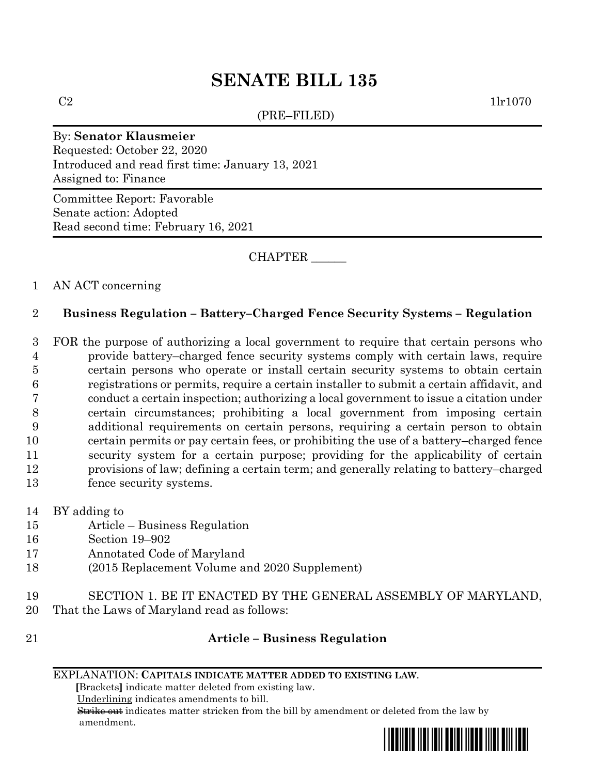# **SENATE BILL 135**

(PRE–FILED)

 $C2$  1lr1070

## By: **Senator Klausmeier**

Requested: October 22, 2020 Introduced and read first time: January 13, 2021 Assigned to: Finance

Committee Report: Favorable Senate action: Adopted Read second time: February 16, 2021

CHAPTER \_\_\_\_\_\_

## 1 AN ACT concerning

# 2 **Business Regulation – Battery–Charged Fence Security Systems – Regulation**

 FOR the purpose of authorizing a local government to require that certain persons who provide battery–charged fence security systems comply with certain laws, require certain persons who operate or install certain security systems to obtain certain registrations or permits, require a certain installer to submit a certain affidavit, and conduct a certain inspection; authorizing a local government to issue a citation under certain circumstances; prohibiting a local government from imposing certain additional requirements on certain persons, requiring a certain person to obtain certain permits or pay certain fees, or prohibiting the use of a battery–charged fence security system for a certain purpose; providing for the applicability of certain provisions of law; defining a certain term; and generally relating to battery–charged fence security systems.

- 14 BY adding to
- 15 Article Business Regulation
- 16 Section 19–902
- 17 Annotated Code of Maryland
- 18 (2015 Replacement Volume and 2020 Supplement)
- 19 SECTION 1. BE IT ENACTED BY THE GENERAL ASSEMBLY OF MARYLAND, 20 That the Laws of Maryland read as follows:
- 

## 21 **Article – Business Regulation**

### EXPLANATION: **CAPITALS INDICATE MATTER ADDED TO EXISTING LAW**.

 **[**Brackets**]** indicate matter deleted from existing law.

Underlining indicates amendments to bill.

 Strike out indicates matter stricken from the bill by amendment or deleted from the law by amendment.

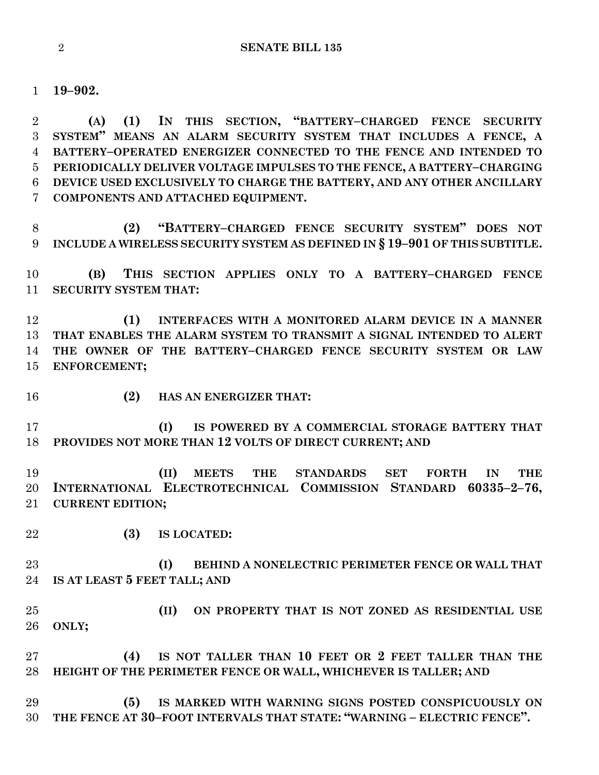**19–902.**

 **(A) (1) IN THIS SECTION, "BATTERY–CHARGED FENCE SECURITY SYSTEM" MEANS AN ALARM SECURITY SYSTEM THAT INCLUDES A FENCE, A BATTERY–OPERATED ENERGIZER CONNECTED TO THE FENCE AND INTENDED TO PERIODICALLY DELIVER VOLTAGE IMPULSES TO THE FENCE, A BATTERY–CHARGING DEVICE USED EXCLUSIVELY TO CHARGE THE BATTERY, AND ANY OTHER ANCILLARY COMPONENTS AND ATTACHED EQUIPMENT.**

 **(2) "BATTERY–CHARGED FENCE SECURITY SYSTEM" DOES NOT INCLUDE A WIRELESS SECURITY SYSTEM AS DEFINED IN § 19–901 OF THIS SUBTITLE.**

 **(B) THIS SECTION APPLIES ONLY TO A BATTERY–CHARGED FENCE SECURITY SYSTEM THAT:**

 **(1) INTERFACES WITH A MONITORED ALARM DEVICE IN A MANNER THAT ENABLES THE ALARM SYSTEM TO TRANSMIT A SIGNAL INTENDED TO ALERT THE OWNER OF THE BATTERY–CHARGED FENCE SECURITY SYSTEM OR LAW ENFORCEMENT;**

- 
- **(2) HAS AN ENERGIZER THAT:**

 **(I) IS POWERED BY A COMMERCIAL STORAGE BATTERY THAT PROVIDES NOT MORE THAN 12 VOLTS OF DIRECT CURRENT; AND**

 **(II) MEETS THE STANDARDS SET FORTH IN THE INTERNATIONAL ELECTROTECHNICAL COMMISSION STANDARD 60335–2–76, CURRENT EDITION;**

**(3) IS LOCATED:**

 **(I) BEHIND A NONELECTRIC PERIMETER FENCE OR WALL THAT IS AT LEAST 5 FEET TALL; AND**

 **(II) ON PROPERTY THAT IS NOT ZONED AS RESIDENTIAL USE ONLY;**

 **(4) IS NOT TALLER THAN 10 FEET OR 2 FEET TALLER THAN THE HEIGHT OF THE PERIMETER FENCE OR WALL, WHICHEVER IS TALLER; AND** 

 **(5) IS MARKED WITH WARNING SIGNS POSTED CONSPICUOUSLY ON THE FENCE AT 30–FOOT INTERVALS THAT STATE: "WARNING – ELECTRIC FENCE".**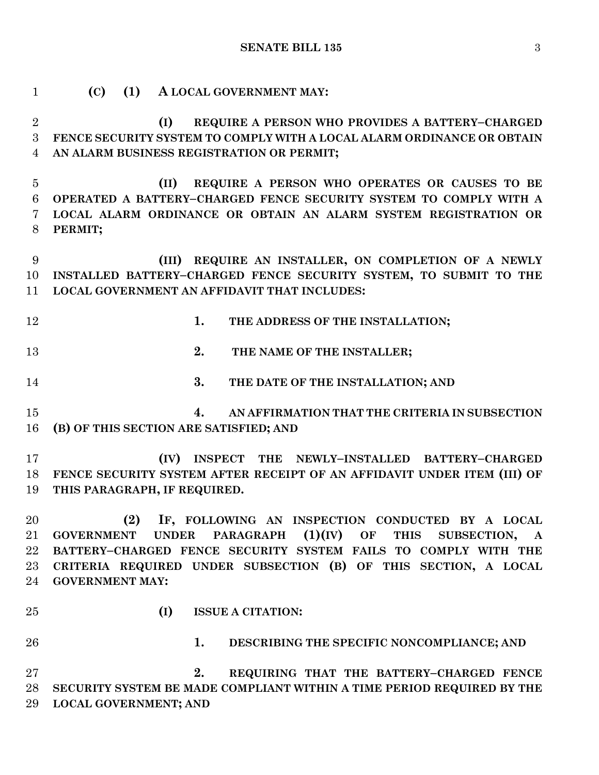### **SENATE BILL 135** 3

 **(C) (1) A LOCAL GOVERNMENT MAY: (I) REQUIRE A PERSON WHO PROVIDES A BATTERY–CHARGED FENCE SECURITY SYSTEM TO COMPLY WITH A LOCAL ALARM ORDINANCE OR OBTAIN AN ALARM BUSINESS REGISTRATION OR PERMIT; (II) REQUIRE A PERSON WHO OPERATES OR CAUSES TO BE OPERATED A BATTERY–CHARGED FENCE SECURITY SYSTEM TO COMPLY WITH A LOCAL ALARM ORDINANCE OR OBTAIN AN ALARM SYSTEM REGISTRATION OR PERMIT; (III) REQUIRE AN INSTALLER, ON COMPLETION OF A NEWLY INSTALLED BATTERY–CHARGED FENCE SECURITY SYSTEM, TO SUBMIT TO THE LOCAL GOVERNMENT AN AFFIDAVIT THAT INCLUDES: 1. THE ADDRESS OF THE INSTALLATION; 2. THE NAME OF THE INSTALLER; 3. THE DATE OF THE INSTALLATION; AND 4. AN AFFIRMATION THAT THE CRITERIA IN SUBSECTION (B) OF THIS SECTION ARE SATISFIED; AND (IV) INSPECT THE NEWLY–INSTALLED BATTERY–CHARGED FENCE SECURITY SYSTEM AFTER RECEIPT OF AN AFFIDAVIT UNDER ITEM (III) OF THIS PARAGRAPH, IF REQUIRED. (2) IF, FOLLOWING AN INSPECTION CONDUCTED BY A LOCAL GOVERNMENT UNDER PARAGRAPH (1)(IV) OF THIS SUBSECTION, A BATTERY–CHARGED FENCE SECURITY SYSTEM FAILS TO COMPLY WITH THE CRITERIA REQUIRED UNDER SUBSECTION (B) OF THIS SECTION, A LOCAL GOVERNMENT MAY: (I) ISSUE A CITATION: 1. DESCRIBING THE SPECIFIC NONCOMPLIANCE; AND 2. REQUIRING THAT THE BATTERY–CHARGED FENCE SECURITY SYSTEM BE MADE COMPLIANT WITHIN A TIME PERIOD REQUIRED BY THE LOCAL GOVERNMENT; AND**